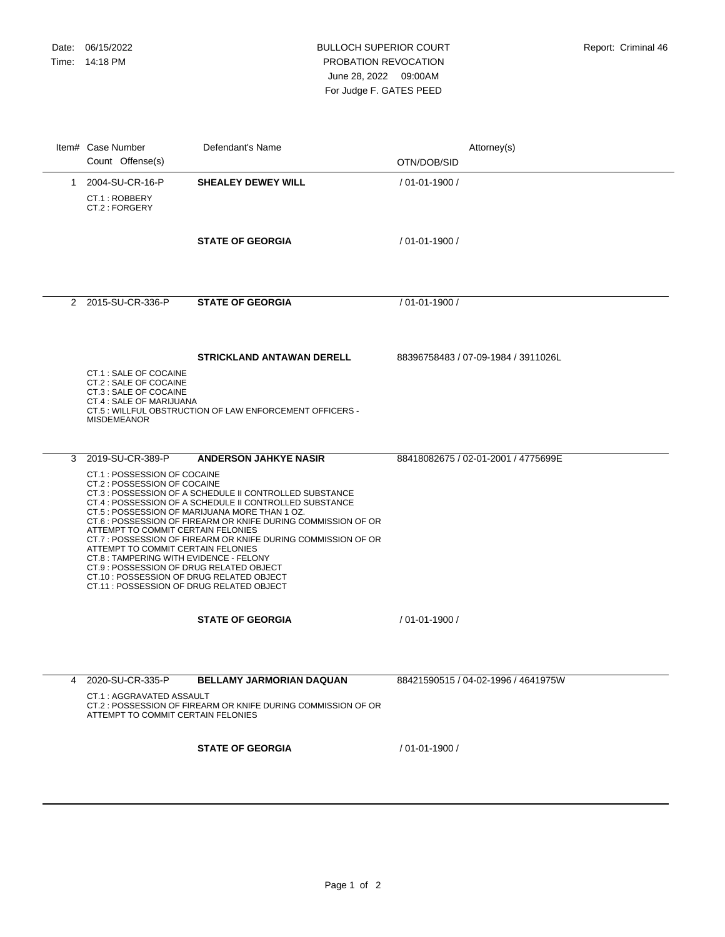## BULLOCH SUPERIOR COURT PROBATION REVOCATION June 28, 2022 09:00AM For Judge F. GATES PEED

|   | Item# Case Number<br>Count Offense(s)                                                                                                                                                                                                                                                                                                         | Defendant's Name                                                                                                                                                                                                                                                                                                                      | Attorney(s)<br>OTN/DOB/SID          |
|---|-----------------------------------------------------------------------------------------------------------------------------------------------------------------------------------------------------------------------------------------------------------------------------------------------------------------------------------------------|---------------------------------------------------------------------------------------------------------------------------------------------------------------------------------------------------------------------------------------------------------------------------------------------------------------------------------------|-------------------------------------|
| 1 | 2004-SU-CR-16-P<br>CT.1: ROBBERY<br>CT.2 : FORGERY                                                                                                                                                                                                                                                                                            | <b>SHEALEY DEWEY WILL</b>                                                                                                                                                                                                                                                                                                             | / 01-01-1900 /                      |
|   |                                                                                                                                                                                                                                                                                                                                               | <b>STATE OF GEORGIA</b>                                                                                                                                                                                                                                                                                                               | / 01-01-1900 /                      |
|   | 2 2015-SU-CR-336-P                                                                                                                                                                                                                                                                                                                            | <b>STATE OF GEORGIA</b>                                                                                                                                                                                                                                                                                                               | / 01-01-1900 /                      |
|   | CT.1 : SALE OF COCAINE<br>CT.2 : SALE OF COCAINE<br>CT.3 : SALE OF COCAINE<br>CT.4 : SALE OF MARIJUANA<br><b>MISDEMEANOR</b>                                                                                                                                                                                                                  | <b>STRICKLAND ANTAWAN DERELL</b><br>CT.5: WILLFUL OBSTRUCTION OF LAW ENFORCEMENT OFFICERS -                                                                                                                                                                                                                                           | 88396758483 / 07-09-1984 / 3911026L |
| 3 | 2019-SU-CR-389-P<br>CT.1 : POSSESSION OF COCAINE<br>CT.2 : POSSESSION OF COCAINE<br>ATTEMPT TO COMMIT CERTAIN FELONIES<br>ATTEMPT TO COMMIT CERTAIN FELONIES<br>CT.8 : TAMPERING WITH EVIDENCE - FELONY<br>CT.9 : POSSESSION OF DRUG RELATED OBJECT<br>CT.10 : POSSESSION OF DRUG RELATED OBJECT<br>CT.11 : POSSESSION OF DRUG RELATED OBJECT | <b>ANDERSON JAHKYE NASIR</b><br>CT.3 : POSSESSION OF A SCHEDULE II CONTROLLED SUBSTANCE<br>CT.4 : POSSESSION OF A SCHEDULE II CONTROLLED SUBSTANCE<br>CT.5 : POSSESSION OF MARIJUANA MORE THAN 1 OZ.<br>CT.6 : POSSESSION OF FIREARM OR KNIFE DURING COMMISSION OF OR<br>CT.7: POSSESSION OF FIREARM OR KNIFE DURING COMMISSION OF OR | 88418082675 / 02-01-2001 / 4775699E |
|   |                                                                                                                                                                                                                                                                                                                                               | <b>STATE OF GEORGIA</b>                                                                                                                                                                                                                                                                                                               | / 01-01-1900 /                      |
| 4 | 2020-SU-CR-335-P<br>CT.1: AGGRAVATED ASSAULT<br>ATTEMPT TO COMMIT CERTAIN FELONIES                                                                                                                                                                                                                                                            | BELLAMY JARMORIAN DAQUAN<br>CT.2: POSSESSION OF FIREARM OR KNIFE DURING COMMISSION OF OR                                                                                                                                                                                                                                              | 88421590515 / 04-02-1996 / 4641975W |
|   |                                                                                                                                                                                                                                                                                                                                               | <b>STATE OF GEORGIA</b>                                                                                                                                                                                                                                                                                                               | / 01-01-1900 /                      |